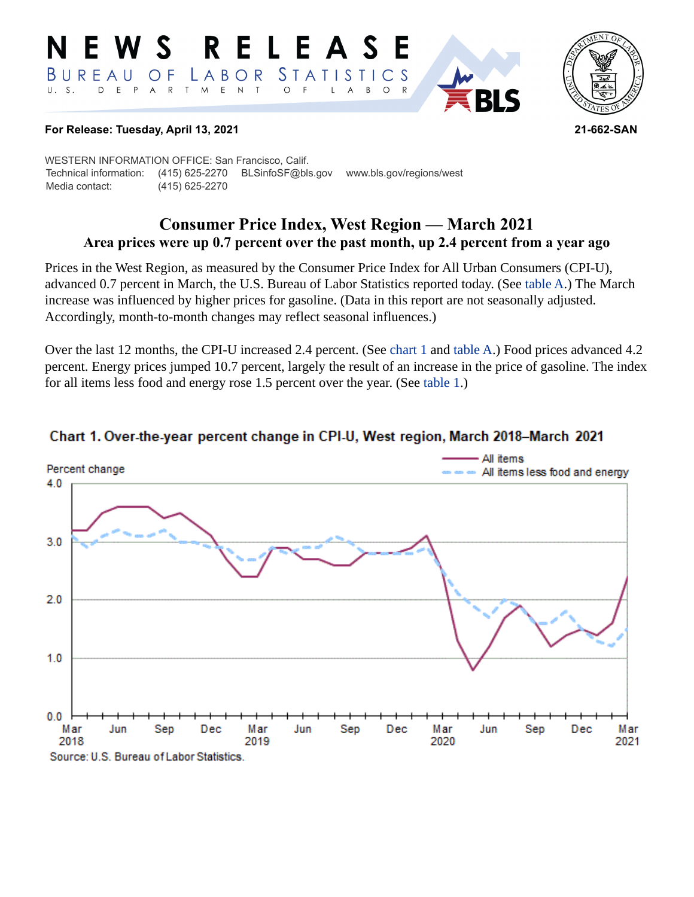#### RELEASE E W S *STATISTICS* BUREAU  $\overline{O}$  F LABOR D E P A R T M  $E$  N  $\top$  $U. S.$  $\bigcirc$  $\overline{F}$ L  $\overline{A}$  $B$  $\circ$  $\mathsf{R}$



#### **For Release: Tuesday, April 13, 2021 21-662-SAN**

WESTERN INFORMATION OFFICE: San Francisco, Calif. Technical information: (415) 625-2270 BLSinfoSF@bls.gov www.bls.gov/regions/west Media contact: (415) 625-2270

## **Consumer Price Index, West Region — March 2021 Area prices were up 0.7 percent over the past month, up 2.4 percent from a year ago**

Prices in the West Region, as measured by the Consumer Price Index for All Urban Consumers (CPI-U), advanced 0.7 percent in March, the U.S. Bureau of Labor Statistics reported today. (See table A.) The March increase was influenced by higher prices for gasoline. (Data in this report are not seasonally adjusted. Accordingly, month-to-month changes may reflect seasonal influences.)

Over the last 12 months, the CPI-U increased 2.4 percent. (See [chart 1](#page-0-0) and table A.) Food prices advanced 4.2 percent. Energy prices jumped 10.7 percent, largely the result of an increase in the price of gasoline. The index for all items less food and energy rose 1.5 percent over the year. (See table 1.)



## <span id="page-0-0"></span>Chart 1. Over-the-year percent change in CPI-U, West region, March 2018-March 2021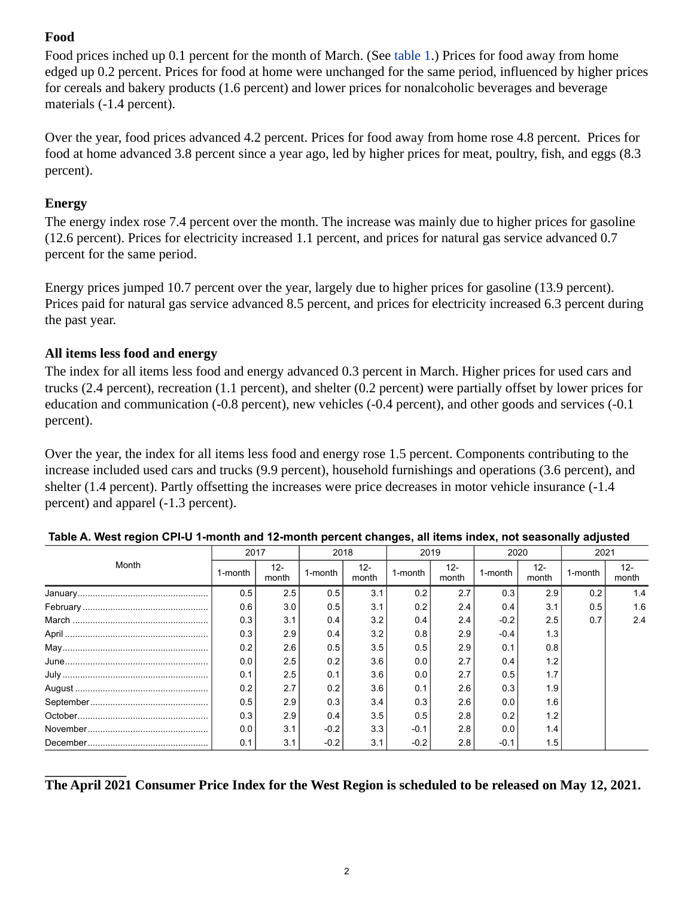# **Food**

Food prices inched up 0.1 percent for the month of March. (See table 1.) Prices for food away from home edged up 0.2 percent. Prices for food at home were unchanged for the same period, influenced by higher prices for cereals and bakery products (1.6 percent) and lower prices for nonalcoholic beverages and beverage materials (-1.4 percent).

Over the year, food prices advanced 4.2 percent. Prices for food away from home rose 4.8 percent. Prices for food at home advanced 3.8 percent since a year ago, led by higher prices for meat, poultry, fish, and eggs (8.3 percent).

## **Energy**

The energy index rose 7.4 percent over the month. The increase was mainly due to higher prices for gasoline (12.6 percent). Prices for electricity increased 1.1 percent, and prices for natural gas service advanced 0.7 percent for the same period.

Energy prices jumped 10.7 percent over the year, largely due to higher prices for gasoline (13.9 percent). Prices paid for natural gas service advanced 8.5 percent, and prices for electricity increased 6.3 percent during the past year.

## **All items less food and energy**

The index for all items less food and energy advanced 0.3 percent in March. Higher prices for used cars and trucks (2.4 percent), recreation (1.1 percent), and shelter (0.2 percent) were partially offset by lower prices for education and communication (-0.8 percent), new vehicles (-0.4 percent), and other goods and services (-0.1 percent).

Over the year, the index for all items less food and energy rose 1.5 percent. Components contributing to the increase included used cars and trucks (9.9 percent), household furnishings and operations (3.6 percent), and shelter (1.4 percent). Partly offsetting the increases were price decreases in motor vehicle insurance (-1.4 percent) and apparel (-1.3 percent).

| Month | 2017    |                 | 2018    |                 | 2019    |                 | 2020    |              | 2021    |                 |
|-------|---------|-----------------|---------|-----------------|---------|-----------------|---------|--------------|---------|-----------------|
|       | 1-month | $12 -$<br>month | 1-month | $12 -$<br>month | 1-month | $12 -$<br>month | 1-month | 12-<br>month | 1-month | $12 -$<br>month |
|       | 0.5     | 2.5             | 0.5     | 3.1             | 0.2     | 2.7             | 0.3     | 2.9          | 0.2     | 1.4             |
|       | 0.6     | 3.0             | 0.5     | 3.1             | 0.2     | 2.4             | 0.4     | 3.1          | 0.5     | 1.6             |
|       | 0.3     | 3.1             | 0.4     | 3.2             | 0.4     | 2.4             | $-0.2$  | 2.5          | 0.7     | 2.4             |
|       | 0.3     | 2.9             | 0.4     | 3.2             | 0.8     | 2.9             | $-0.4$  | 1.3          |         |                 |
|       | 0.2     | 2.6             | 0.5     | 3.5             | 0.5     | 2.9             | 0.1     | 0.8          |         |                 |
|       | 0.0     | 25              | 0.2     | 3.6             | 0.0     | 2.7             | 0.4     | $1.2$        |         |                 |
|       | 0.1     | 2.5             | 0.1     | 3.6             | 0.0     | 2.7             | 05      | 1.7          |         |                 |
|       | 0.2     | 2.7             | 0.2     | 3.6             | 0.1     | 2.6             | 0.3     | 1.9          |         |                 |
|       | 0.5     | 2.9             | 0.3     | 3.4             | 0.3     | 2.6             | 0.0     | 1.6          |         |                 |
|       | 0.3     | 2.9             | 0.4     | 3.5             | 0.5     | 2.8             | 0.2     | 1.2          |         |                 |
|       | 0.0     | 3.1             | $-0.2$  | 3.3             | $-0.1$  | 2.8             | 0.0     | 1.4          |         |                 |
|       | 0.1     | 3.1             | $-0.2$  | 3.1             | $-0.2$  | 2.8             | $-0.1$  | 1.5          |         |                 |

### **Table A. West region CPI-U 1-month and 12-month percent changes, all items index, not seasonally adjusted**

## **The April 2021 Consumer Price Index for the West Region is scheduled to be released on May 12, 2021.**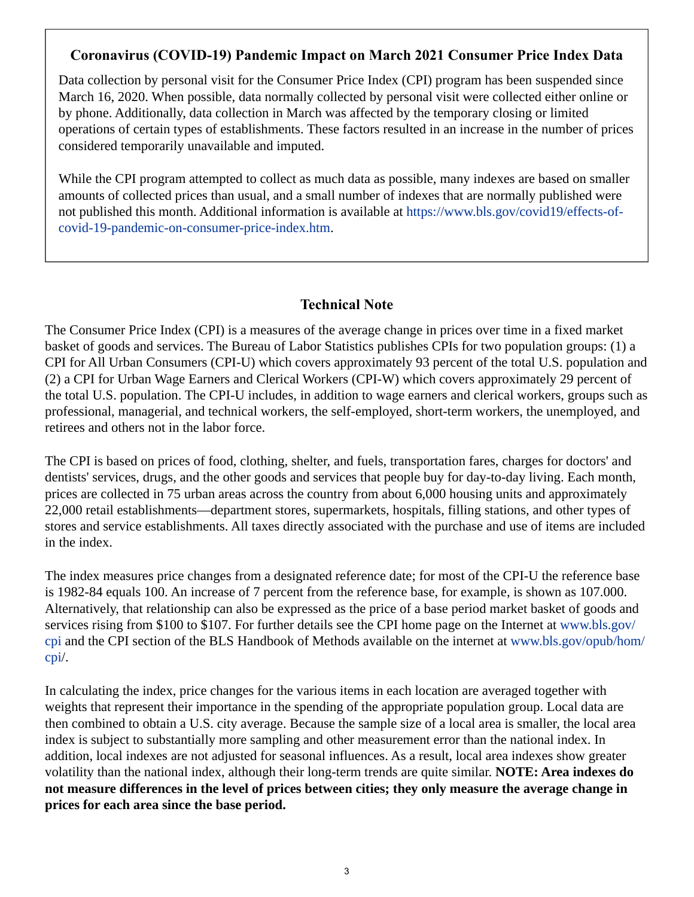# **Coronavirus (COVID-19) Pandemic Impact on March 2021 Consumer Price Index Data**

Data collection by personal visit for the Consumer Price Index (CPI) program has been suspended since March 16, 2020. When possible, data normally collected by personal visit were collected either online or by phone. Additionally, data collection in March was affected by the temporary closing or limited operations of certain types of establishments. These factors resulted in an increase in the number of prices considered temporarily unavailable and imputed.

While the CPI program attempted to collect as much data as possible, many indexes are based on smaller amounts of collected prices than usual, and a small number of indexes that are normally published were not published this month. Additional information is available at [https://www.bls.gov/covid19/effects-of](https://www.bls.gov/covid19/effects-of-covid-19-pandemic-on-consumer-price-index.htm)[covid-19-pandemic-on-consumer-price-index.htm.](https://www.bls.gov/covid19/effects-of-covid-19-pandemic-on-consumer-price-index.htm)

## **Technical Note**

The Consumer Price Index (CPI) is a measures of the average change in prices over time in a fixed market basket of goods and services. The Bureau of Labor Statistics publishes CPIs for two population groups: (1) a CPI for All Urban Consumers (CPI-U) which covers approximately 93 percent of the total U.S. population and (2) a CPI for Urban Wage Earners and Clerical Workers (CPI-W) which covers approximately 29 percent of the total U.S. population. The CPI-U includes, in addition to wage earners and clerical workers, groups such as professional, managerial, and technical workers, the self-employed, short-term workers, the unemployed, and retirees and others not in the labor force.

The CPI is based on prices of food, clothing, shelter, and fuels, transportation fares, charges for doctors' and dentists' services, drugs, and the other goods and services that people buy for day-to-day living. Each month, prices are collected in 75 urban areas across the country from about 6,000 housing units and approximately 22,000 retail establishments—department stores, supermarkets, hospitals, filling stations, and other types of stores and service establishments. All taxes directly associated with the purchase and use of items are included in the index.

The index measures price changes from a designated reference date; for most of the CPI-U the reference base is 1982-84 equals 100. An increase of 7 percent from the reference base, for example, is shown as 107.000. Alternatively, that relationship can also be expressed as the price of a base period market basket of goods and services rising from \$100 to \$107. For further details see the CPI home page on the Internet at [www.bls.gov/](https://www.bls.gov/cpi) [cpi](https://www.bls.gov/cpi) and the CPI section of the BLS Handbook of Methods available on the internet at [www.bls.gov/opub/hom/](https://www.bls.gov/opub/hom/cpi) [cpi](https://www.bls.gov/opub/hom/cpi)/.

In calculating the index, price changes for the various items in each location are averaged together with weights that represent their importance in the spending of the appropriate population group. Local data are then combined to obtain a U.S. city average. Because the sample size of a local area is smaller, the local area index is subject to substantially more sampling and other measurement error than the national index. In addition, local indexes are not adjusted for seasonal influences. As a result, local area indexes show greater volatility than the national index, although their long-term trends are quite similar. **NOTE: Area indexes do not measure differences in the level of prices between cities; they only measure the average change in prices for each area since the base period.**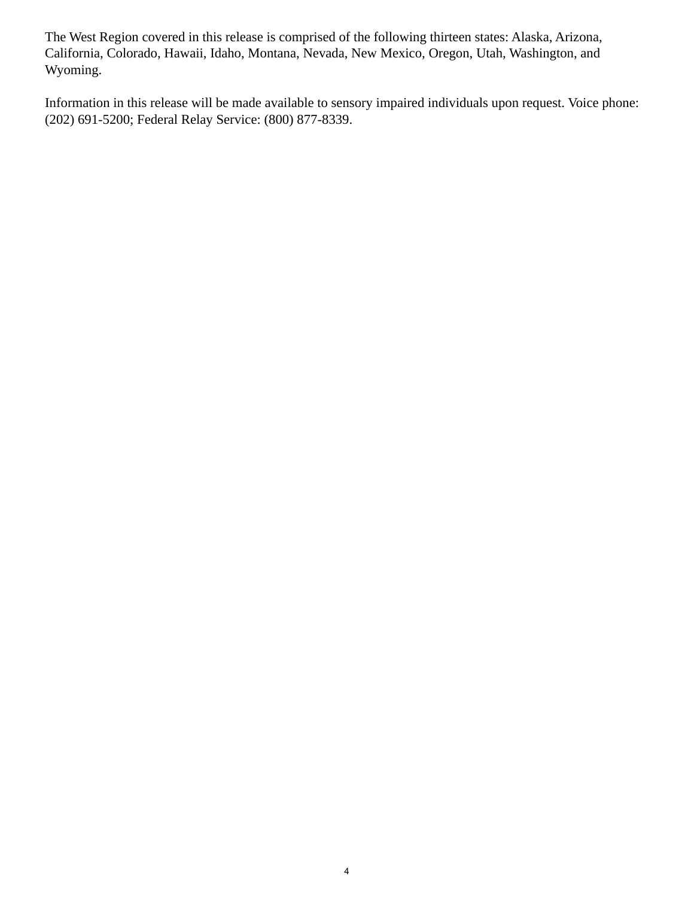The West Region covered in this release is comprised of the following thirteen states: Alaska, Arizona, California, Colorado, Hawaii, Idaho, Montana, Nevada, New Mexico, Oregon, Utah, Washington, and Wyoming.

Information in this release will be made available to sensory impaired individuals upon request. Voice phone: (202) 691-5200; Federal Relay Service: (800) 877-8339.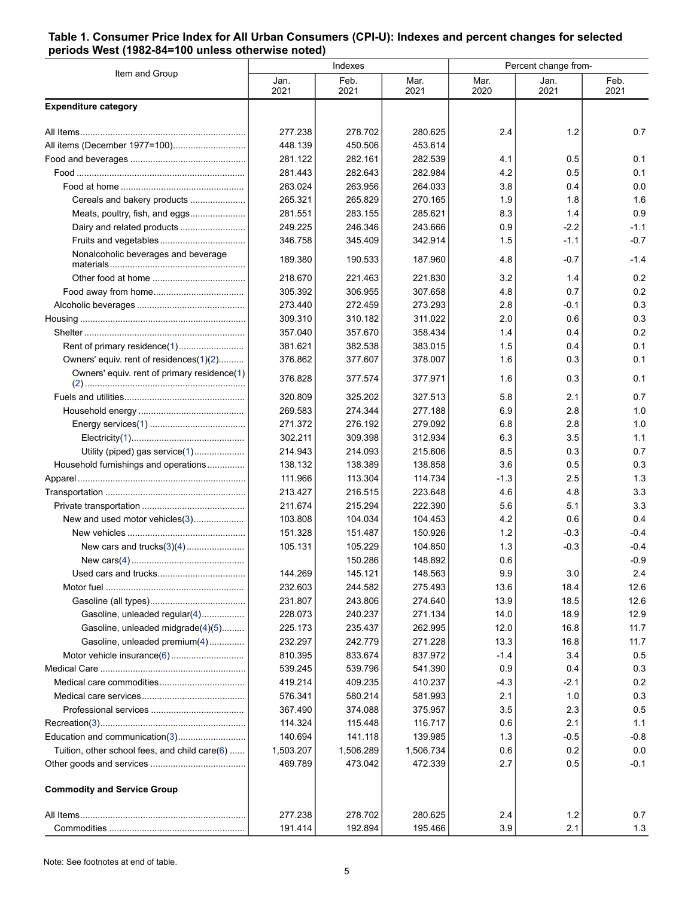#### **Table 1. Consumer Price Index for All Urban Consumers (CPI-U): Indexes and percent changes for selected periods West (1982-84=100 unless otherwise noted)**

| Item and Group                                |              | Indexes      |              | Percent change from- |              |              |  |
|-----------------------------------------------|--------------|--------------|--------------|----------------------|--------------|--------------|--|
|                                               | Jan.<br>2021 | Feb.<br>2021 | Mar.<br>2021 | Mar.<br>2020         | Jan.<br>2021 | Feb.<br>2021 |  |
| <b>Expenditure category</b>                   |              |              |              |                      |              |              |  |
|                                               | 277.238      | 278.702      | 280.625      | 2.4                  | 1.2          | 0.7          |  |
|                                               | 448.139      | 450.506      | 453.614      |                      |              |              |  |
|                                               | 281.122      | 282.161      | 282.539      | 4.1                  | 0.5          | 0.1          |  |
|                                               | 281.443      | 282.643      | 282.984      | 4.2                  | 0.5          | 0.1          |  |
|                                               | 263.024      | 263.956      | 264.033      | 3.8                  | 0.4          | 0.0          |  |
| Cereals and bakery products                   | 265.321      | 265.829      | 270.165      | 1.9                  | 1.8          | 1.6          |  |
| Meats, poultry, fish, and eggs                | 281.551      | 283.155      | 285.621      | 8.3                  | 1.4          | 0.9          |  |
|                                               | 249.225      | 246.346      | 243.666      | 0.9                  | $-2.2$       | $-1.1$       |  |
|                                               | 346.758      | 345.409      | 342.914      | 1.5                  | $-1.1$       | $-0.7$       |  |
| Nonalcoholic beverages and beverage           | 189.380      | 190.533      | 187.960      | 4.8                  | $-0.7$       | $-1.4$       |  |
|                                               | 218.670      | 221.463      | 221.830      | 3.2                  | 1.4          | 0.2          |  |
|                                               | 305.392      | 306.955      | 307.658      | 4.8                  | 0.7          | 0.2          |  |
|                                               | 273.440      | 272.459      | 273.293      | 2.8                  | -0.1         | 0.3          |  |
|                                               | 309.310      | 310.182      | 311.022      | 2.0                  | 0.6          | 0.3          |  |
|                                               | 357.040      | 357.670      | 358.434      | 1.4                  | 0.4          | 0.2          |  |
| Rent of primary residence(1)                  | 381.621      | 382.538      | 383.015      | 1.5                  | 0.4          | 0.1          |  |
| Owners' equiv. rent of residences(1)(2)       | 376.862      | 377.607      | 378.007      | 1.6                  | 0.3          | 0.1          |  |
| Owners' equiv. rent of primary residence(1)   | 376.828      | 377.574      | 377.971      | 1.6                  | 0.3          | 0.1          |  |
|                                               | 320.809      | 325.202      | 327.513      | 5.8                  | 2.1          | 0.7          |  |
|                                               | 269.583      | 274.344      | 277.188      | 6.9                  | 2.8          | 1.0          |  |
|                                               | 271.372      | 276.192      | 279.092      | 6.8                  | 2.8          | 1.0          |  |
|                                               | 302.211      | 309.398      | 312.934      | 6.3                  | 3.5          | 1.1          |  |
| Utility (piped) gas service(1)                | 214.943      | 214.093      | 215.606      | 8.5                  | 0.3          | 0.7          |  |
| Household furnishings and operations          | 138.132      | 138.389      | 138.858      | 3.6                  | 0.5          | 0.3          |  |
|                                               | 111.966      | 113.304      | 114.734      | $-1.3$               | 2.5          | 1.3          |  |
|                                               | 213.427      | 216.515      | 223.648      | 4.6                  | 4.8          | 3.3          |  |
|                                               | 211.674      | 215.294      | 222.390      | 5.6                  | 5.1          | 3.3          |  |
| New and used motor vehicles(3)                | 103.808      | 104.034      | 104.453      | 4.2                  | 0.6          | 0.4          |  |
|                                               | 151.328      | 151.487      | 150.926      | 1.2                  | $-0.3$       | $-0.4$       |  |
|                                               | 105.131      | 105.229      | 104.850      | 1.3                  | $-0.3$       | $-0.4$       |  |
|                                               |              | 150.286      | 148.892      | 0.6                  |              | $-0.9$       |  |
|                                               | 144.269      | 145.121      | 148.563      | 9.9                  | 3.0          | 2.4          |  |
|                                               | 232.603      | 244.582      | 275.493      | 13.6                 | 18.4         | 12.6         |  |
|                                               | 231.807      | 243.806      | 274.640      | 13.9                 | 18.5         | 12.6         |  |
| Gasoline, unleaded regular(4)                 | 228.073      | 240.237      | 271.134      | 14.0                 | 18.9         | 12.9         |  |
| Gasoline, unleaded midgrade(4)(5)             | 225.173      | 235.437      | 262.995      | 12.0                 | 16.8         | 11.7         |  |
| Gasoline, unleaded premium(4)                 | 232.297      | 242.779      | 271.228      | 13.3                 | 16.8         | 11.7         |  |
|                                               | 810.395      | 833.674      | 837.972      | $-1.4$               | 3.4          | 0.5          |  |
|                                               | 539.245      | 539.796      | 541.390      | 0.9                  | 0.4          | 0.3          |  |
|                                               | 419.214      | 409.235      | 410.237      | $-4.3$               | -2.1         | 0.2          |  |
|                                               | 576.341      | 580.214      | 581.993      | 2.1                  | 1.0          | 0.3          |  |
|                                               | 367.490      | 374.088      | 375.957      | 3.5                  | 2.3          | 0.5          |  |
|                                               | 114.324      | 115.448      | 116.717      | 0.6                  | 2.1          | 1.1          |  |
|                                               | 140.694      | 141.118      | 139.985      | 1.3                  | $-0.5$       | $-0.8$       |  |
| Tuition, other school fees, and child care(6) | 1,503.207    | 1,506.289    | 1,506.734    | 0.6                  | 0.2          | 0.0          |  |
|                                               | 469.789      | 473.042      | 472.339      | 2.7                  | 0.5          | $-0.1$       |  |
| <b>Commodity and Service Group</b>            |              |              |              |                      |              |              |  |
|                                               | 277.238      | 278.702      | 280.625      | 2.4                  | $1.2$        | 0.7          |  |
|                                               | 191.414      | 192.894      | 195.466      | 3.9                  | 2.1          | 1.3          |  |